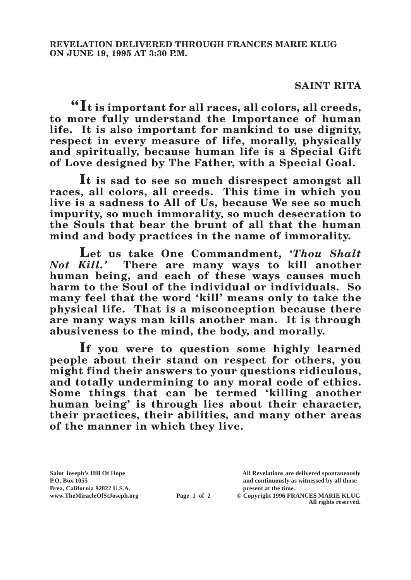## **SAINT RITA**

**"It is important for all races, all colors, all creeds, to more fully understand the Importance of human life. It is also important for mankind to use dignity, respect in every measure of life, morally, physically and spiritually, because human life is a Special Gift of Love designed by The Father, with a Special Goal.**

**It is sad to see so much disrespect amongst all races, all colors, all creeds. This time in which you live is a sadness to All of Us, because We see so much impurity, so much immorality, so much desecration to the Souls that bear the brunt of all that the human mind and body practices in the name of immorality.**

Let us take One Commandment, *'Thou Shalt*<br>*Not Kill*.' There are many ways to kill another *Not Kill.'* **There are many ways to kill another human being, and each of these ways causes much harm to the Soul of the individual or individuals. So many feel that the word 'kill' means only to take the physical life. That is a misconception because there are many ways man kills another man. It is through abusiveness to the mind, the body, and morally.**

**If you were to question some highly learned people about their stand on respect for others, you might find their answers to your questions ridiculous, and totally undermining to any moral code of ethics. Some things that can be termed 'killing another human being' is through lies about their character, their practices, their abilities, and many other areas of the manner in which they live.**

**Brea, California 92822 U.S.A. present at the time.**<br> **present at the time.**<br> **present at the time.**<br> **present at the time.**<br> **present at the time.**<br> **present at the time.** 

**Saint Joseph's Hill Of Hope All Revelations are delivered spontaneously P.O. Box 1055 and continuously as witnessed by all those** 

**Page 1 of 2** © Copyright 1996 FRANCES MARIE KLUG **All rights reserved.**